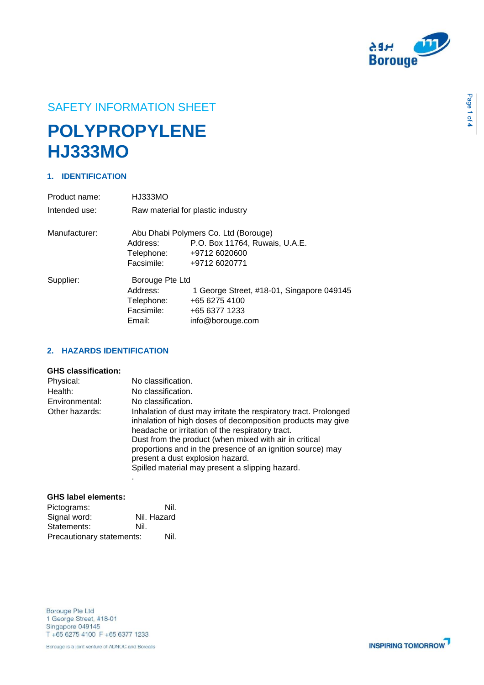

# SAFETY INFORMATION SHEET

# **POLYPROPYLENE HJ333MO**

# **1. IDENTIFICATION**

| Product name:                                         | HJ333MO                           |                                           |
|-------------------------------------------------------|-----------------------------------|-------------------------------------------|
| Intended use:                                         | Raw material for plastic industry |                                           |
| Manufacturer:<br>Abu Dhabi Polymers Co. Ltd (Borouge) |                                   |                                           |
|                                                       | Address:                          | P.O. Box 11764, Ruwais, U.A.E.            |
|                                                       | Telephone:                        | +9712 6020600                             |
|                                                       | Facsimile:                        | +9712 6020771                             |
| Supplier:                                             | Borouge Pte Ltd                   |                                           |
|                                                       | Address:                          | 1 George Street, #18-01, Singapore 049145 |
|                                                       | Telephone:                        | +65 6275 4100                             |
|                                                       | Facsimile:                        | +65 6377 1233                             |
|                                                       | Email:                            | info@borouge.com                          |

# **2. HAZARDS IDENTIFICATION**

# **GHS classification:**

| Physical:      | No classification.                                                                                                                                                                                                                                                                                                                                                                                 |
|----------------|----------------------------------------------------------------------------------------------------------------------------------------------------------------------------------------------------------------------------------------------------------------------------------------------------------------------------------------------------------------------------------------------------|
| Health:        | No classification.                                                                                                                                                                                                                                                                                                                                                                                 |
| Environmental: | No classification.                                                                                                                                                                                                                                                                                                                                                                                 |
| Other hazards: | Inhalation of dust may irritate the respiratory tract. Prolonged<br>inhalation of high doses of decomposition products may give<br>headache or irritation of the respiratory tract.<br>Dust from the product (when mixed with air in critical<br>proportions and in the presence of an ignition source) may<br>present a dust explosion hazard.<br>Spilled material may present a slipping hazard. |

# **GHS label elements:**

| Pictograms:               | Nil.        |  |
|---------------------------|-------------|--|
| Signal word:              | Nil. Hazard |  |
| Statements:               | Nil.        |  |
| Precautionary statements: | Nil.        |  |

.

Borouge Pte Ltd 1 George Street, #18-01 Singapore 049145 T +65 6275 4100 F +65 6377 1233

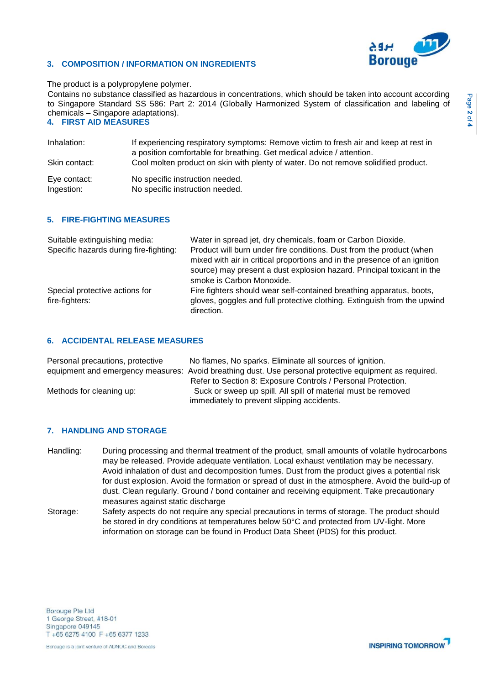

# **3. COMPOSITION / INFORMATION ON INGREDIENTS**

#### The product is a polypropylene polymer.

Contains no substance classified as hazardous in concentrations, which should be taken into account according to Singapore Standard SS 586: Part 2: 2014 (Globally Harmonized System of classification and labeling of chemicals – Singapore adaptations).

# **4. FIRST AID MEASURES**

| Inhalation:<br>Skin contact: | If experiencing respiratory symptoms: Remove victim to fresh air and keep at rest in<br>a position comfortable for breathing. Get medical advice / attention.<br>Cool molten product on skin with plenty of water. Do not remove solidified product. |
|------------------------------|------------------------------------------------------------------------------------------------------------------------------------------------------------------------------------------------------------------------------------------------------|
| Eve contact:                 | No specific instruction needed.                                                                                                                                                                                                                      |
| Ingestion:                   | No specific instruction needed.                                                                                                                                                                                                                      |

# **5. FIRE-FIGHTING MEASURES**

| Suitable extinguishing media:          | Water in spread jet, dry chemicals, foam or Carbon Dioxide.                            |
|----------------------------------------|----------------------------------------------------------------------------------------|
| Specific hazards during fire-fighting: | Product will burn under fire conditions. Dust from the product (when                   |
|                                        | mixed with air in critical proportions and in the presence of an ignition              |
|                                        | source) may present a dust explosion hazard. Principal toxicant in the                 |
|                                        | smoke is Carbon Monoxide.                                                              |
| Special protective actions for         | Fire fighters should wear self-contained breathing apparatus, boots,                   |
| fire-fighters:                         | gloves, goggles and full protective clothing. Extinguish from the upwind<br>direction. |

# **6. ACCIDENTAL RELEASE MEASURES**

| Personal precautions, protective | No flames, No sparks. Eliminate all sources of ignition.                                               |
|----------------------------------|--------------------------------------------------------------------------------------------------------|
|                                  | equipment and emergency measures: Avoid breathing dust. Use personal protective equipment as required. |
|                                  | Refer to Section 8: Exposure Controls / Personal Protection.                                           |
| Methods for cleaning up:         | Suck or sweep up spill. All spill of material must be removed                                          |
|                                  | immediately to prevent slipping accidents.                                                             |

# **7. HANDLING AND STORAGE**

- Handling: During processing and thermal treatment of the product, small amounts of volatile hydrocarbons may be released. Provide adequate ventilation. Local exhaust ventilation may be necessary. Avoid inhalation of dust and decomposition fumes. Dust from the product gives a potential risk for dust explosion. Avoid the formation or spread of dust in the atmosphere. Avoid the build-up of dust. Clean regularly. Ground / bond container and receiving equipment. Take precautionary measures against static discharge
- Storage: Safety aspects do not require any special precautions in terms of storage. The product should be stored in dry conditions at temperatures below 50°C and protected from UV-light. More information on storage can be found in Product Data Sheet (PDS) for this product.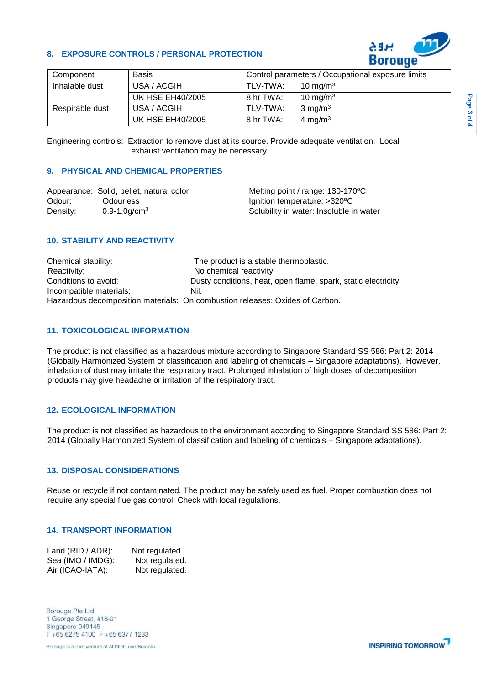# **8. EXPOSURE CONTROLS / PERSONAL PROTECTION**



| Component       | <b>Basis</b>            |           | Control parameters / Occupational exposure limits |
|-----------------|-------------------------|-----------|---------------------------------------------------|
| Inhalable dust  | USA / ACGIH             | TLV-TWA:  | 10 mg/m $3$                                       |
|                 | <b>UK HSE EH40/2005</b> | 8 hr TWA: | 10 mg/m $3$                                       |
| Respirable dust | USA / ACGIH             | TLV-TWA:  | $3 \text{ mg/m}^3$                                |
|                 | <b>UK HSE EH40/2005</b> | 8 hr TWA: | 4 mg/m $3$                                        |

Engineering controls: Extraction to remove dust at its source. Provide adequate ventilation. Local exhaust ventilation may be necessary.

# **9. PHYSICAL AND CHEMICAL PROPERTIES**

|          | Appearance: Solid, pellet, natural color | Melting point / range: 130-170 °C       |
|----------|------------------------------------------|-----------------------------------------|
| Odour:   | Odourless                                | Ignition temperature: >320°C            |
| Density: | $0.9 - 1.0$ g/cm <sup>3</sup>            | Solubility in water: Insoluble in water |

# **10. STABILITY AND REACTIVITY**

| Chemical stability:     | The product is a stable thermoplastic.                                       |
|-------------------------|------------------------------------------------------------------------------|
| Reactivity:             | No chemical reactivity                                                       |
| Conditions to avoid:    | Dusty conditions, heat, open flame, spark, static electricity.               |
| Incompatible materials: | Nil.                                                                         |
|                         | Hazardous decomposition materials: On combustion releases: Oxides of Carbon. |

# **11. TOXICOLOGICAL INFORMATION**

The product is not classified as a hazardous mixture according to Singapore Standard SS 586: Part 2: 2014 (Globally Harmonized System of classification and labeling of chemicals – Singapore adaptations). However, inhalation of dust may irritate the respiratory tract. Prolonged inhalation of high doses of decomposition products may give headache or irritation of the respiratory tract.

#### **12. ECOLOGICAL INFORMATION**

The product is not classified as hazardous to the environment according to Singapore Standard SS 586: Part 2: 2014 (Globally Harmonized System of classification and labeling of chemicals – Singapore adaptations).

#### **13. DISPOSAL CONSIDERATIONS**

Reuse or recycle if not contaminated. The product may be safely used as fuel. Proper combustion does not require any special flue gas control. Check with local regulations.

# **14. TRANSPORT INFORMATION**

| Land (RID / ADR): | Not regulated. |
|-------------------|----------------|
| Sea (IMO / IMDG): | Not regulated. |
| Air (ICAO-IATA):  | Not regulated. |

Borouge Pte Ltd 1 George Street, #18-01 Singapore 049145 T +65 6275 4100 F +65 6377 1233